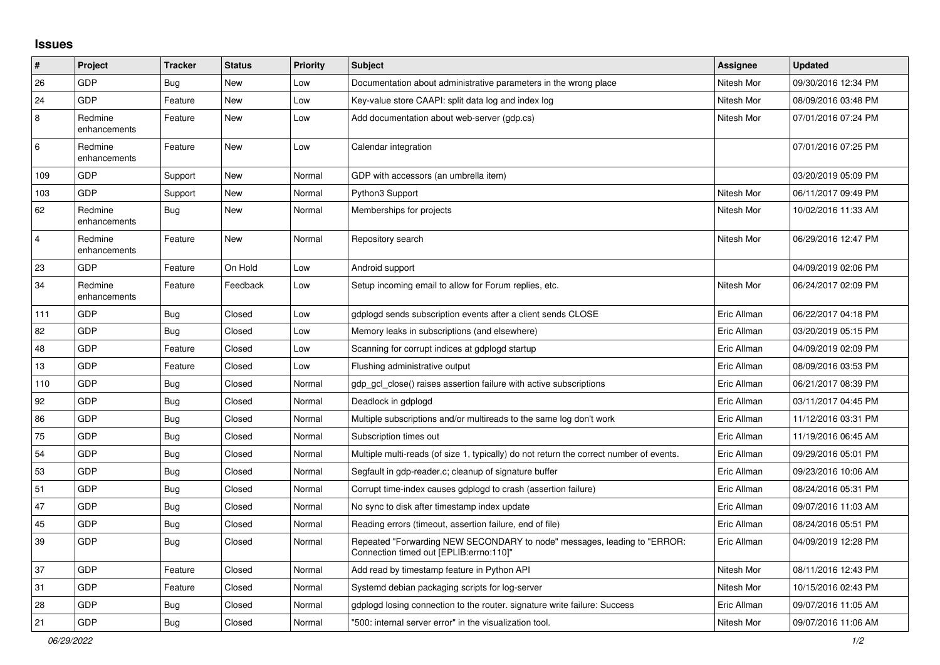## **Issues**

| $\sharp$       | Project                 | <b>Tracker</b> | <b>Status</b> | <b>Priority</b> | <b>Subject</b>                                                                                                      | <b>Assignee</b> | <b>Updated</b>      |
|----------------|-------------------------|----------------|---------------|-----------------|---------------------------------------------------------------------------------------------------------------------|-----------------|---------------------|
| 26             | <b>GDP</b>              | Bug            | <b>New</b>    | Low             | Documentation about administrative parameters in the wrong place                                                    | Nitesh Mor      | 09/30/2016 12:34 PM |
| 24             | GDP                     | Feature        | <b>New</b>    | Low             | Key-value store CAAPI: split data log and index log                                                                 | Nitesh Mor      | 08/09/2016 03:48 PM |
| $\,8\,$        | Redmine<br>enhancements | Feature        | New           | Low             | Add documentation about web-server (gdp.cs)                                                                         | Nitesh Mor      | 07/01/2016 07:24 PM |
| $\,6\,$        | Redmine<br>enhancements | Feature        | <b>New</b>    | Low             | Calendar integration                                                                                                |                 | 07/01/2016 07:25 PM |
| 109            | GDP                     | Support        | New           | Normal          | GDP with accessors (an umbrella item)                                                                               |                 | 03/20/2019 05:09 PM |
| 103            | <b>GDP</b>              | Support        | New           | Normal          | Python3 Support                                                                                                     | Nitesh Mor      | 06/11/2017 09:49 PM |
| 62             | Redmine<br>enhancements | Bug            | New           | Normal          | Memberships for projects                                                                                            | Nitesh Mor      | 10/02/2016 11:33 AM |
| $\overline{4}$ | Redmine<br>enhancements | Feature        | New           | Normal          | Repository search                                                                                                   | Nitesh Mor      | 06/29/2016 12:47 PM |
| 23             | <b>GDP</b>              | Feature        | On Hold       | Low             | Android support                                                                                                     |                 | 04/09/2019 02:06 PM |
| 34             | Redmine<br>enhancements | Feature        | Feedback      | Low             | Setup incoming email to allow for Forum replies, etc.                                                               | Nitesh Mor      | 06/24/2017 02:09 PM |
| 111            | GDP                     | <b>Bug</b>     | Closed        | Low             | gdplogd sends subscription events after a client sends CLOSE                                                        | Eric Allman     | 06/22/2017 04:18 PM |
| 82             | GDP                     | Bug            | Closed        | Low             | Memory leaks in subscriptions (and elsewhere)                                                                       | Eric Allman     | 03/20/2019 05:15 PM |
| 48             | GDP                     | Feature        | Closed        | Low             | Scanning for corrupt indices at gdplogd startup                                                                     | Eric Allman     | 04/09/2019 02:09 PM |
| 13             | <b>GDP</b>              | Feature        | Closed        | Low             | Flushing administrative output                                                                                      | Eric Allman     | 08/09/2016 03:53 PM |
| 110            | GDP                     | <b>Bug</b>     | Closed        | Normal          | gdp_gcl_close() raises assertion failure with active subscriptions                                                  | Eric Allman     | 06/21/2017 08:39 PM |
| 92             | GDP                     | Bug            | Closed        | Normal          | Deadlock in gdplogd                                                                                                 | Eric Allman     | 03/11/2017 04:45 PM |
| 86             | GDP                     | <b>Bug</b>     | Closed        | Normal          | Multiple subscriptions and/or multireads to the same log don't work                                                 | Eric Allman     | 11/12/2016 03:31 PM |
| 75             | <b>GDP</b>              | <b>Bug</b>     | Closed        | Normal          | Subscription times out                                                                                              | Eric Allman     | 11/19/2016 06:45 AM |
| 54             | GDP                     | Bug            | Closed        | Normal          | Multiple multi-reads (of size 1, typically) do not return the correct number of events.                             | Eric Allman     | 09/29/2016 05:01 PM |
| 53             | GDP                     | <b>Bug</b>     | Closed        | Normal          | Segfault in gdp-reader.c; cleanup of signature buffer                                                               | Eric Allman     | 09/23/2016 10:06 AM |
| 51             | GDP                     | <b>Bug</b>     | Closed        | Normal          | Corrupt time-index causes gdplogd to crash (assertion failure)                                                      | Eric Allman     | 08/24/2016 05:31 PM |
| 47             | GDP                     | <b>Bug</b>     | Closed        | Normal          | No sync to disk after timestamp index update                                                                        | Eric Allman     | 09/07/2016 11:03 AM |
| 45             | GDP                     | <b>Bug</b>     | Closed        | Normal          | Reading errors (timeout, assertion failure, end of file)                                                            | Eric Allman     | 08/24/2016 05:51 PM |
| 39             | GDP                     | <b>Bug</b>     | Closed        | Normal          | Repeated "Forwarding NEW SECONDARY to node" messages, leading to "ERROR:<br>Connection timed out [EPLIB:errno:110]" | Eric Allman     | 04/09/2019 12:28 PM |
| 37             | GDP                     | Feature        | Closed        | Normal          | Add read by timestamp feature in Python API                                                                         | Nitesh Mor      | 08/11/2016 12:43 PM |
| 31             | GDP                     | Feature        | Closed        | Normal          | Systemd debian packaging scripts for log-server                                                                     | Nitesh Mor      | 10/15/2016 02:43 PM |
| 28             | <b>GDP</b>              | <b>Bug</b>     | Closed        | Normal          | gdplogd losing connection to the router. signature write failure: Success                                           | Eric Allman     | 09/07/2016 11:05 AM |
| 21             | GDP                     | Bug            | Closed        | Normal          | "500: internal server error" in the visualization tool.                                                             | Nitesh Mor      | 09/07/2016 11:06 AM |